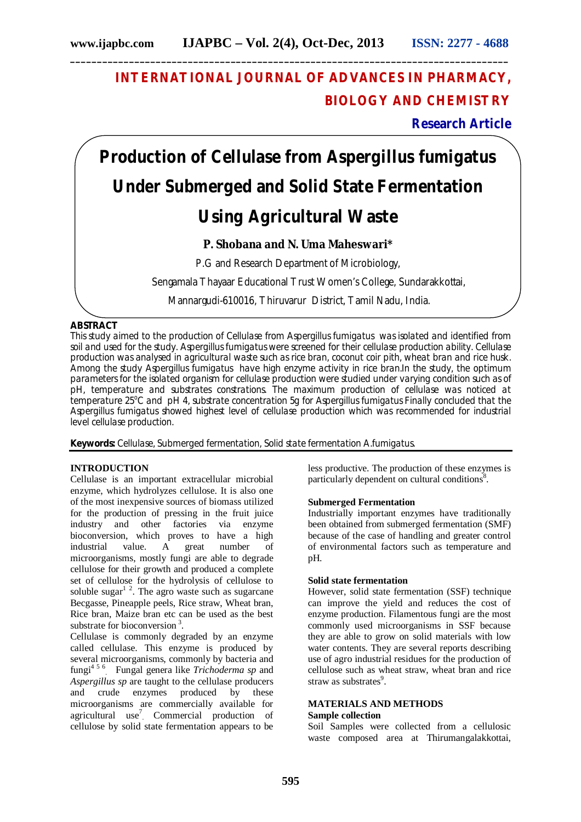# **INTERNATIONAL JOURNAL OF ADVANCES IN PHARMACY, BIOLOGY AND CHEMISTRY**

# **Research Article**

**Production of Cellulase from** *Aspergillus fumigatus*  **Under Submerged and Solid State Fermentation Using Agricultural Waste**

## **P. Shobana and N. Uma Maheswari\***

P.G and Research Department of Microbiology,

Sengamala Thayaar Educational Trust Women's College, Sundarakkottai,

Mannargudi-610016, Thiruvarur District, Tamil Nadu, India.

## **ABSTRACT**

This study aimed to the production of Cellulase from *Aspergillus fumigatus* was isolated and identified from soil and used for the study. *Aspergillus fumigatus* were screened for their cellulase production ability. Cellulase production was analysed in agricultural waste such as rice bran, coconut coir pith, wheat bran and rice husk. Among the study *Aspergillus fumigatus* have high enzyme activity in rice bran.In the study, the optimum parameters for the isolated organism for cellulase production were studied under varying condition such as of pH, temperature and substrates constrations. The maximum production of cellulase was noticed at temperature 25°C and pH 4, substrate concentration 5g for *Aspergillus fumigatus* Finally concluded that the *Aspergillus fumigatus* showed highest level of cellulase production which was recommended for industrial level cellulase production.

**Keywords:** Cellulase, Submerged fermentation, Solid state fermentation *A.fumigatus.*

## **INTRODUCTION**

Cellulase is an important extracellular microbial enzyme, which hydrolyzes cellulose. It is also one of the most inexpensive sources of biomass utilized for the production of pressing in the fruit juice industry and other factories via enzyme bioconversion, which proves to have a high industrial value. A great number of industrial value. A great number microorganisms, mostly fungi are able to degrade cellulose for their growth and produced a complete set of cellulose for the hydrolysis of cellulose to soluble sugar $1<sup>2</sup>$ . The agro waste such as sugarcane Becgasse, Pineapple peels, Rice straw, Wheat bran, Rice bran, Maize bran etc can be used as the best substrate for bioconversion<sup>3</sup>.

Cellulase is commonly degraded by an enzyme called cellulase. This enzyme is produced by several microorganisms, commonly by bacteria and fungi4 5 6 . Fungal genera like *Trichoderma sp* and *Aspergillus sp* are taught to the cellulase producers and crude enzymes produced by these microorganisms are commercially available for agricultural use<sup>7</sup> Commercial production of cellulose by solid state fermentation appears to be

less productive. The production of these enzymes is particularly dependent on cultural conditions<sup>8</sup>.

#### **Submerged Fermentation**

Industrially important enzymes have traditionally been obtained from submerged fermentation (SMF) because of the case of handling and greater control of environmental factors such as temperature and pH.

#### **Solid state fermentation**

However, solid state fermentation (SSF) technique can improve the yield and reduces the cost of enzyme production. Filamentous fungi are the most commonly used microorganisms in SSF because they are able to grow on solid materials with low water contents. They are several reports describing use of agro industrial residues for the production of cellulose such as wheat straw, wheat bran and rice straw as substrates<sup>9</sup>.

#### **MATERIALS AND METHODS Sample collection**

Soil Samples were collected from a cellulosic waste composed area at Thirumangalakkottai,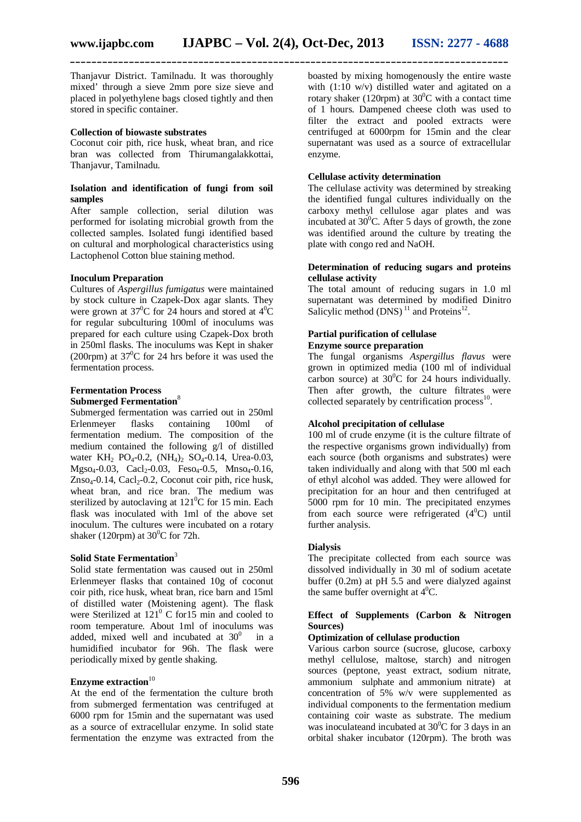Thanjavur District. Tamilnadu. It was thoroughly mixed' through a sieve 2mm pore size sieve and placed in polyethylene bags closed tightly and then stored in specific container.

#### **Collection of biowaste substrates**

Coconut coir pith, rice husk, wheat bran, and rice bran was collected from Thirumangalakkottai, Thanjavur, Tamilnadu.

#### **Isolation and identification of fungi from soil samples**

After sample collection, serial dilution was performed for isolating microbial growth from the collected samples. Isolated fungi identified based on cultural and morphological characteristics using Lactophenol Cotton blue staining method.

#### **Inoculum Preparation**

Cultures of *Aspergillus fumigatus* were maintained by stock culture in Czapek-Dox agar slants. They were grown at  $37^{\circ}$ C for 24 hours and stored at  $4^{\circ}$ C for regular subculturing 100ml of inoculums was prepared for each culture using Czapek-Dox broth in 250ml flasks. The inoculums was Kept in shaker (200rpm) at  $37^{\circ}$ C for 24 hrs before it was used the fermentation process.

#### **Fermentation Process Submerged Fermentation**<sup>8</sup>

Submerged fermentation was carried out in 250ml Erlenmeyer flasks containing 100ml of fermentation medium. The composition of the medium contained the following g/l of distilled water KH<sub>2</sub> PO<sub>4</sub>-0.2, (NH<sub>4</sub>)<sub>2</sub> SO<sub>4</sub>-0.14, Urea-0.03,  $Mgso<sub>4</sub>-0.03$ , Cacl<sub>2</sub>-0.03, Feso<sub>4</sub>-0.5, Mnso<sub>4</sub>-0.16,  $Znso<sub>4</sub>-0.14$ , Cacl<sub>2</sub>-0.2, Coconut coir pith, rice husk, wheat bran, and rice bran. The medium was sterilized by autoclaving at  $121^0C$  for 15 min. Each flask was inoculated with 1ml of the above set inoculum. The cultures were incubated on a rotary shaker (120rpm) at  $30^{\circ}$ C for 72h.

#### **Solid State Fermentation**<sup>3</sup>

Solid state fermentation was caused out in 250ml Erlenmeyer flasks that contained 10g of coconut coir pith, rice husk, wheat bran, rice barn and 15ml of distilled water (Moistening agent). The flask were Sterilized at  $121^{\circ}$  C for  $15$  min and cooled to room temperature. About 1ml of inoculums was added, mixed well and incubated at  $30^0$  in a humidified incubator for 96h. The flask were periodically mixed by gentle shaking.

## **Enzyme extraction**<sup>10</sup>

At the end of the fermentation the culture broth from submerged fermentation was centrifuged at 6000 rpm for 15min and the supernatant was used as a source of extracellular enzyme. In solid state fermentation the enzyme was extracted from the boasted by mixing homogenously the entire waste with (1:10 w/v) distilled water and agitated on a rotary shaker (120rpm) at  $30^{\circ}$ C with a contact time of 1 hours. Dampened cheese cloth was used to filter the extract and pooled extracts were centrifuged at 6000rpm for 15min and the clear supernatant was used as a source of extracellular enzyme.

#### **Cellulase activity determination**

The cellulase activity was determined by streaking the identified fungal cultures individually on the carboxy methyl cellulose agar plates and was incubated at  $30^{\circ}$ C. After 5 days of growth, the zone was identified around the culture by treating the plate with congo red and NaOH.

#### **Determination of reducing sugars and proteins cellulase activity**

The total amount of reducing sugars in 1.0 ml supernatant was determined by modified Dinitro Salicylic method  $(DNS)^{11}$  and Proteins<sup>12</sup>.

#### **Partial purification of cellulase Enzyme source preparation**

The fungal organisms *Aspergillus flavus* were grown in optimized media (100 ml of individual carbon source) at  $30^{\circ}$ C for 24 hours individually. Then after growth, the culture filtrates were collected separately by centrification process $^{10}$ .

#### **Alcohol precipitation of cellulase**

100 ml of crude enzyme (it is the culture filtrate of the respective organisms grown individually) from each source (both organisms and substrates) were taken individually and along with that 500 ml each of ethyl alcohol was added. They were allowed for precipitation for an hour and then centrifuged at 5000 rpm for 10 min. The precipitated enzymes from each source were refrigerated  $(4^0C)$  until further analysis.

#### **Dialysis**

The precipitate collected from each source was dissolved individually in 30 ml of sodium acetate buffer (0.2m) at pH 5.5 and were dialyzed against the same buffer overnight at  $4^{\circ}$ C.

#### **Effect of Supplements (Carbon & Nitrogen Sources)**

#### **Optimization of cellulase production**

Various carbon source (sucrose, glucose, carboxy methyl cellulose, maltose, starch) and nitrogen sources (peptone, yeast extract, sodium nitrate, ammonium sulphate and ammonium nitrate) at concentration of 5% w/v were supplemented as individual components to the fermentation medium containing coir waste as substrate. The medium was inoculateand incubated at  $30^{\circ}$ C for 3 days in an orbital shaker incubator (120rpm). The broth was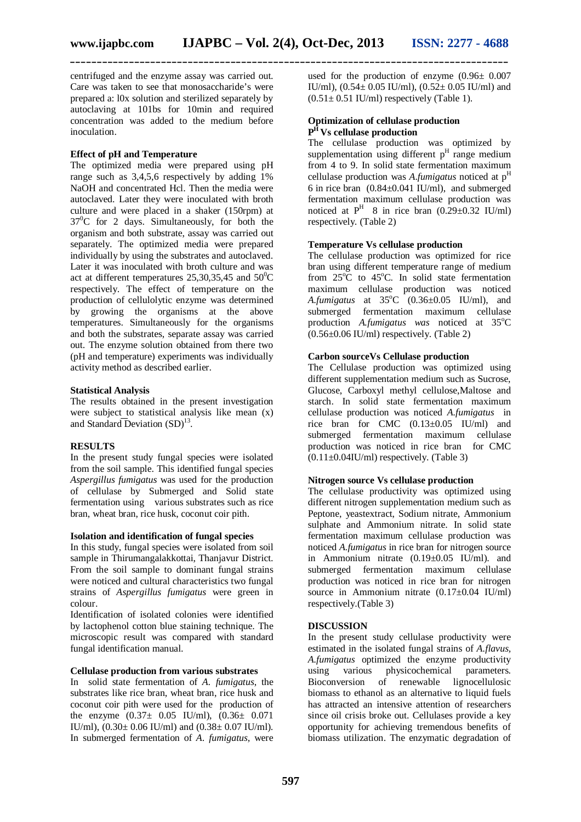centrifuged and the enzyme assay was carried out. Care was taken to see that monosaccharide's were prepared a: l0x solution and sterilized separately by autoclaving at 101bs for 10min and required concentration was added to the medium before inoculation.

## **Effect of pH and Temperature**

The optimized media were prepared using pH range such as 3,4,5,6 respectively by adding 1% NaOH and concentrated Hcl. Then the media were autoclaved. Later they were inoculated with broth culture and were placed in a shaker (150rpm) at  $37^{\circ}$ C for 2 days. Simultaneously, for both the organism and both substrate, assay was carried out separately. The optimized media were prepared individually by using the substrates and autoclaved. Later it was inoculated with broth culture and was act at different temperatures  $25,30,35,45$  and  $50^{\circ}$ C respectively. The effect of temperature on the production of cellulolytic enzyme was determined by growing the organisms at the above temperatures. Simultaneously for the organisms and both the substrates, separate assay was carried out. The enzyme solution obtained from there two (pH and temperature) experiments was individually activity method as described earlier.

#### **Statistical Analysis**

The results obtained in the present investigation were subject to statistical analysis like mean (x) and Standard Deviation  $(SD)^{13}$ .

#### **RESULTS**

In the present study fungal species were isolated from the soil sample. This identified fungal species *Aspergillus fumigatus* was used for the production of cellulase by Submerged and Solid state fermentation using various substrates such as rice bran, wheat bran, rice husk, coconut coir pith.

#### **Isolation and identification of fungal species**

In this study, fungal species were isolated from soil sample in Thirumangalakkottai, Thanjavur District. From the soil sample to dominant fungal strains were noticed and cultural characteristics two fungal strains of *Aspergillus fumigatus* were green in colour.

Identification of isolated colonies were identified by lactophenol cotton blue staining technique. The microscopic result was compared with standard fungal identification manual.

#### **Cellulase production from various substrates**

In solid state fermentation of *A. fumigatus*, the substrates like rice bran, wheat bran, rice husk and coconut coir pith were used for the production of the enzyme  $(0.37\pm 0.05 \text{ IU/ml})$ ,  $(0.36\pm 0.071 \text{ m})$ IU/ml),  $(0.30 \pm 0.06 \text{ IU/ml})$  and  $(0.38 \pm 0.07 \text{ IU/ml})$ . In submerged fermentation of *A*. *fumigatus,* were

used for the production of enzyme  $(0.96 \pm 0.007)$ IU/ml),  $(0.54 \pm 0.05 \text{ IU/ml})$ ,  $(0.52 \pm 0.05 \text{ IU/ml})$  and  $(0.51 \pm 0.51 \text{ IU/ml})$  respectively (Table 1).

#### **Optimization of cellulase production P <sup>H</sup>Vs cellulase production**

The cellulase production was optimized by supplementation using different  $p<sup>H</sup>$  range medium from 4 to 9. In solid state fermentation maximum cellulase production was *A*.*fumigatus* noticed at p<sup>H</sup> 6 in rice bran  $(0.84 \pm 0.041 \text{ IU/ml})$ , and submerged fermentation maximum cellulase production was noticed at  $P<sup>H</sup>$  8 in rice bran (0.29±0.32 IU/ml) respectively*.* (Table 2)

#### **Temperature Vs cellulase production**

The cellulase production was optimized for rice bran using different temperature range of medium from  $25^{\circ}$ C to  $45^{\circ}$ C. In solid state fermentation maximum cellulase production was noticed *A.fumigatus* at  $35^{\circ}$ C (0.36±0.05 IU/ml), and submerged fermentation maximum cellulase production *A.fumigatus was* noticed at 35°C  $(0.56\pm0.06 \text{ IU/ml})$  respectively. (Table 2)

#### **Carbon sourceVs Cellulase production**

The Cellulase production was optimized using different supplementation medium such as Sucrose, Glucose, Carboxyl methyl cellulose,Maltose and starch. In solid state fermentation maximum cellulase production was noticed *A.fumigatus* in rice bran for CMC  $(0.13\pm0.05)$  IU/ml) and submerged fermentation maximum cellulase production was noticed in rice bran for CMC  $(0.11\pm0.04$ IU/ml) respectively. (Table 3)

#### **Nitrogen source Vs cellulase production**

The cellulase productivity was optimized using different nitrogen supplementation medium such as Peptone, yeastextract, Sodium nitrate, Ammonium sulphate and Ammonium nitrate. In solid state fermentation maximum cellulase production was noticed *A.fumigatus* in rice bran for nitrogen source in Ammonium nitrate (0.19±0.05 IU/ml). and submerged fermentation maximum cellulase production was noticed in rice bran for nitrogen source in Ammonium nitrate  $(0.17 \pm 0.04 \text{ IU/ml})$ respectively.(Table 3)

## **DISCUSSION**

In the present study cellulase productivity were estimated in the isolated fungal strains of *A.flavus, A.fumigatus* optimized the enzyme productivity using various physicochemical parameters. Bioconversion of renewable lignocellulosic biomass to ethanol as an alternative to liquid fuels has attracted an intensive attention of researchers since oil crisis broke out. Cellulases provide a key opportunity for achieving tremendous benefits of biomass utilization. The enzymatic degradation of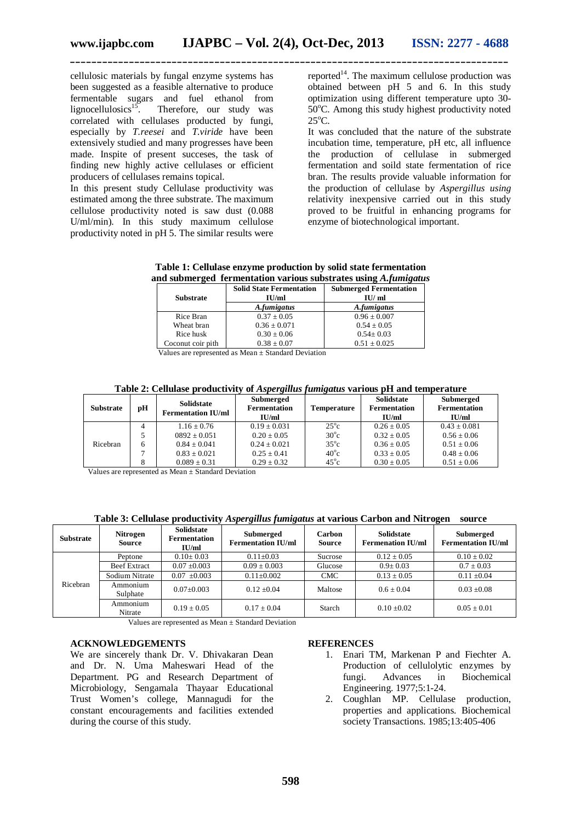cellulosic materials by fungal enzyme systems has been suggested as a feasible alternative to produce fermentable sugars and fuel ethanol from lignocellulosics<sup>15</sup>. Therefore, our study was correlated with cellulases producted by fungi, especially by *T.reesei* and *T.viride* have been extensively studied and many progresses have been made. Inspite of present succeses, the task of finding new highly active cellulases or efficient producers of cellulases remains topical.

In this present study Cellulase productivity was estimated among the three substrate. The maximum cellulose productivity noted is saw dust (0.088 U/ml/min). In this study maximum cellulose productivity noted in pH 5. The similar results were

reported<sup>14</sup>. The maximum cellulose production was obtained between pH 5 and 6. In this study optimization using different temperature upto 30-  $50^{\circ}$ C. Among this study highest productivity noted  $25^{\circ}$ C.

It was concluded that the nature of the substrate incubation time, temperature, pH etc, all influence the production of cellulase in submerged fermentation and soild state fermentation of rice bran. The results provide valuable information for the production of cellulase by *Aspergillus using* relativity inexpensive carried out in this study proved to be fruitful in enhancing programs for enzyme of biotechnological important.

**Table 1: Cellulase enzyme production by solid state fermentation and submerged fermentation various substrates using** *A.fumigatus*

| <b>Substrate</b>  | <b>Solid State Fermentation</b><br>IU/ml | <b>Submerged Fermentation</b><br>IU/ml |  |
|-------------------|------------------------------------------|----------------------------------------|--|
|                   | A.fumigatus                              | A.fumigatus                            |  |
| Rice Bran         | $0.37 \pm 0.05$                          | $0.96 \pm 0.007$                       |  |
| Wheat bran        | $0.36 \pm 0.071$                         | $0.54 \pm 0.05$                        |  |
| Rice husk         | $0.30 \pm 0.06$                          | $0.54 \pm 0.03$                        |  |
| Coconut coir pith | $0.38 \pm 0.07$                          | $0.51 \pm 0.025$                       |  |

Values are represented as Mean ± Standard Deviation

**Table 2: Cellulase productivity of** *Aspergillus fumigatus* **various pH and temperature**

| <b>Substrate</b> | рH | Solidstate<br><b>Fermentation IU/ml</b> | Submerged<br><b>Fermentation</b><br>IU/ml | <b>Temperature</b> | <b>Solidstate</b><br><b>Fermentation</b><br>IU/ml | Submerged<br><b>Fermentation</b><br>$\mathbf{H}$ $\mathbf{I}$ |
|------------------|----|-----------------------------------------|-------------------------------------------|--------------------|---------------------------------------------------|---------------------------------------------------------------|
| Ricebran         | 4  | $1.16 + 0.76$                           | $0.19 + 0.031$                            | $25^{\circ}c$      | $0.26 + 0.05$                                     | $0.43 + 0.081$                                                |
|                  |    | $0892 + 0.051$                          | $0.20 + 0.05$                             | $30^{\circ}$ c     | $0.32 + 0.05$                                     | $0.56 + 0.06$                                                 |
|                  | h  | $0.84 + 0.041$                          | $0.24 \pm 0.021$                          | $35^{\circ}c$      | $0.36 + 0.05$                                     | $0.51 \pm 0.06$                                               |
|                  |    | $0.83 + 0.021$                          | $0.25 + 0.41$                             | $40^{\circ}$ c     | $0.33 \pm 0.05$                                   | $0.48 \pm 0.06$                                               |
|                  | 8  | $0.089 \pm 0.31$                        | $0.29 \pm 0.32$                           | $45^{\circ}c$      | $0.30 \pm 0.05$                                   | $0.51 \pm 0.06$                                               |

Values are represented as Mean ± Standard Deviation

**Table 3: Cellulase productivity** *Aspergillus fumigatus* **at various Carbon and Nitrogen source**

| <b>Substrate</b> | <b>Nitrogen</b><br><b>Source</b> | <b>Solidstate</b><br><b>Fermentation</b><br>IU/ml | Submerged<br><b>Fermentation IU/ml</b> | <b>Carbon</b><br><b>Source</b> | <b>Solidstate</b><br><b>Fermenation IU/ml</b> | Submerged<br><b>Fermentation IU/ml</b> |
|------------------|----------------------------------|---------------------------------------------------|----------------------------------------|--------------------------------|-----------------------------------------------|----------------------------------------|
| Ricebran         | Peptone                          | $0.10 \pm 0.03$                                   | $0.11 \pm 0.03$                        | Sucrose                        | $0.12 \pm 0.05$                               | $0.10 \pm 0.02$                        |
|                  | <b>Beef Extract</b>              | $0.07 \pm 0.003$                                  | $0.09 \pm 0.003$                       | Glucose                        | $0.9 \pm 0.03$                                | $0.7 \pm 0.03$                         |
|                  | Sodium Nitrate                   | $0.07 \pm 0.003$                                  | $0.11 \pm 0.002$                       | <b>CMC</b>                     | $0.13 + 0.05$                                 | $0.11 \pm 0.04$                        |
|                  | Ammonium<br>Sulphate             | $0.07+0.003$                                      | $0.12 + 0.04$                          | Maltose                        | $0.6 + 0.04$                                  | $0.03 + 0.08$                          |
|                  | Ammonium<br>Nitrate              | $0.19 + 0.05$                                     | $0.17 + 0.04$                          | Starch                         | $0.10 + 0.02$                                 | $0.05 + 0.01$                          |

Values are represented as Mean ± Standard Deviation

#### **ACKNOWLEDGEMENTS**

We are sincerely thank Dr. V. Dhivakaran Dean and Dr. N. Uma Maheswari Head of the Department. PG and Research Department of Microbiology, Sengamala Thayaar Educational Trust Women's college, Mannagudi for the constant encouragements and facilities extended during the course of this study.

#### **REFERENCES**

- 1. Enari TM, Markenan P and Fiechter A. Production of cellulolytic enzymes by fungi. Advances in Biochemical Engineering. 1977;5:1-24.
- 2. Coughlan MP. Cellulase production, properties and applications. Biochemical society Transactions. 1985:13:405-406